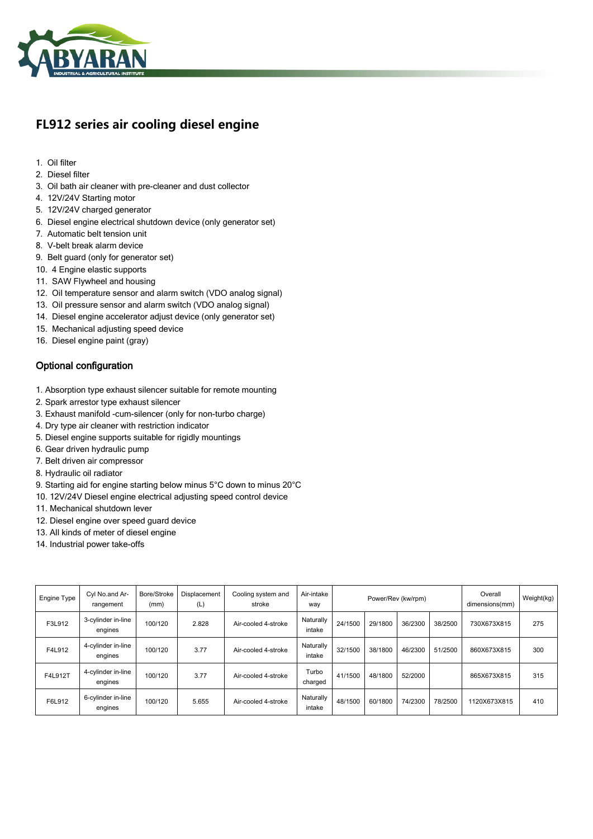

## **FL912 series air cooling diesel engine**

- 1. Oil filter
- 2. Diesel filter
- 3. Oil bath air cleaner with pre-cleaner and dust collector
- 4. 12V/24V Starting motor
- 5. 12V/24V charged generator
- 6. Diesel engine electrical shutdown device (only generator set)
- 7. Automatic belt tension unit
- 8. V-belt break alarm device
- 9. Belt guard (only for generator set)
- 10. 4 Engine elastic supports
- 11. SAW Flywheel and housing
- 12. Oil temperature sensor and alarm switch (VDO analog signal)
- 13. Oil pressure sensor and alarm switch (VDO analog signal)
- 14. Diesel engine accelerator adjust device (only generator set)
- 15. Mechanical adjusting speed device
- 16. Diesel engine paint (gray)

## Optional configuration

- 1. Absorption type exhaust silencer suitable for remote mounting
- 2. Spark arrestor type exhaust silencer
- 3. Exhaust manifold -cum-silencer (only for non-turbo charge)
- 4. Dry type air cleaner with restriction indicator
- 5. Diesel engine supports suitable for rigidly mountings
- 6. Gear driven hydraulic pump
- 7. Belt driven air compressor
- 8. Hydraulic oil radiator
- 9. Starting aid for engine starting below minus 5°C down to minus 20°C
- 10. 12V/24V Diesel engine electrical adjusting speed control device
- 11. Mechanical shutdown lever
- 12. Diesel engine over speed guard device
- 13. All kinds of meter of diesel engine
- 14. Industrial power take-offs

| Engine Type | Cyl No.and Ar-<br>rangement   | Bore/Stroke<br>(mm) | Displacement<br>(L) | Cooling system and<br>stroke | Air-intake<br>way   | Power/Rev (kw/rpm) |         |         | Overall<br>dimensions(mm) | Weight(kg)   |     |
|-------------|-------------------------------|---------------------|---------------------|------------------------------|---------------------|--------------------|---------|---------|---------------------------|--------------|-----|
| F3L912      | 3-cylinder in-line<br>engines | 100/120             | 2.828               | Air-cooled 4-stroke          | Naturally<br>intake | 24/1500            | 29/1800 | 36/2300 | 38/2500                   | 730X673X815  | 275 |
| F4L912      | 4-cylinder in-line<br>engines | 100/120             | 3.77                | Air-cooled 4-stroke          | Naturally<br>intake | 32/1500            | 38/1800 | 46/2300 | 51/2500                   | 860X673X815  | 300 |
| F4L912T     | 4-cylinder in-line<br>engines | 100/120             | 3.77                | Air-cooled 4-stroke          | Turbo<br>charged    | 41/1500            | 48/1800 | 52/2000 |                           | 865X673X815  | 315 |
| F6L912      | 6-cylinder in-line<br>engines | 100/120             | 5.655               | Air-cooled 4-stroke          | Naturally<br>intake | 48/1500            | 60/1800 | 74/2300 | 78/2500                   | 1120X673X815 | 410 |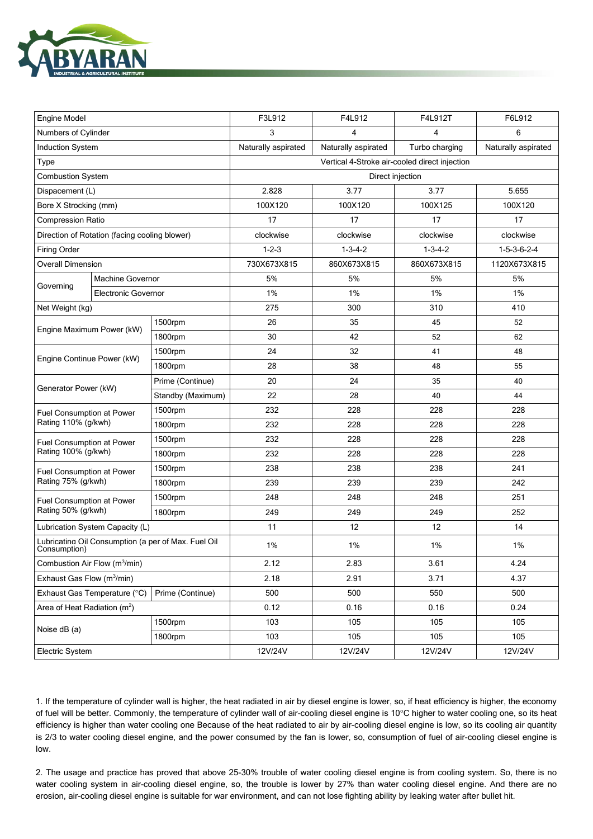

| <b>Engine Model</b>                                                 |                              |                   | F3L912                                        | F4L912                                | F4L912T | F6L912              |  |  |  |  |
|---------------------------------------------------------------------|------------------------------|-------------------|-----------------------------------------------|---------------------------------------|---------|---------------------|--|--|--|--|
| Numbers of Cylinder                                                 |                              |                   | 3                                             | 4                                     | 4       | 6                   |  |  |  |  |
| <b>Induction System</b>                                             |                              |                   | Naturally aspirated                           | Naturally aspirated<br>Turbo charging |         | Naturally aspirated |  |  |  |  |
| Type                                                                |                              |                   | Vertical 4-Stroke air-cooled direct injection |                                       |         |                     |  |  |  |  |
| <b>Combustion System</b>                                            |                              |                   | Direct injection                              |                                       |         |                     |  |  |  |  |
| Dispacement (L)                                                     |                              |                   | 2.828                                         | 3.77                                  | 3.77    | 5.655               |  |  |  |  |
| Bore X Strocking (mm)                                               |                              |                   | 100X120                                       | 100X120<br>100X125                    |         | 100X120             |  |  |  |  |
| <b>Compression Ratio</b>                                            |                              |                   | 17                                            | 17                                    | 17      | 17                  |  |  |  |  |
| Direction of Rotation (facing cooling blower)                       |                              |                   | clockwise                                     | clockwise<br>clockwise                |         | clockwise           |  |  |  |  |
| <b>Firing Order</b>                                                 |                              |                   | $1 - 2 - 3$                                   | $1 - 3 - 4 - 2$<br>$1 - 3 - 4 - 2$    |         | $1-5-3-6-2-4$       |  |  |  |  |
| <b>Overall Dimension</b>                                            |                              |                   | 730X673X815                                   | 860X673X815<br>860X673X815            |         | 1120X673X815        |  |  |  |  |
| Governing                                                           | <b>Machine Governor</b>      |                   | 5%                                            | 5%                                    | 5%      | 5%                  |  |  |  |  |
|                                                                     | Electronic Governor          |                   | 1%                                            | 1%                                    | 1%      | 1%                  |  |  |  |  |
| Net Weight (kg)                                                     |                              |                   | 275                                           | 300                                   | 310     | 410                 |  |  |  |  |
|                                                                     | Engine Maximum Power (kW)    | 1500rpm           | 26                                            | 35                                    | 45      | 52                  |  |  |  |  |
|                                                                     |                              | 1800rpm           | 30                                            | 42                                    | 52      | 62                  |  |  |  |  |
| Engine Continue Power (kW)                                          |                              | 1500rpm           | 24                                            | 32                                    | 41      | 48                  |  |  |  |  |
|                                                                     |                              | 1800rpm           | 28                                            | 38                                    | 48      | 55                  |  |  |  |  |
| Generator Power (kW)                                                |                              | Prime (Continue)  | 20                                            | 24                                    | 35      | 40                  |  |  |  |  |
|                                                                     |                              | Standby (Maximum) | 22                                            | 28                                    | 40      | 44                  |  |  |  |  |
| Fuel Consumption at Power<br>Rating 110% (g/kwh)                    |                              | 1500rpm           | 232                                           | 228                                   | 228     | 228                 |  |  |  |  |
|                                                                     |                              | 1800rpm           | 232                                           | 228                                   | 228     | 228                 |  |  |  |  |
| Fuel Consumption at Power<br>Rating 100% (g/kwh)                    |                              | 1500rpm           | 232                                           | 228                                   | 228     | 228                 |  |  |  |  |
|                                                                     |                              | 1800rpm           | 232                                           | 228                                   | 228     | 228                 |  |  |  |  |
| Fuel Consumption at Power                                           |                              | 1500rpm           | 238                                           | 238                                   | 238     | 241                 |  |  |  |  |
| Rating 75% (g/kwh)                                                  |                              | 1800rpm           | 239                                           | 239                                   | 239     | 242                 |  |  |  |  |
| Fuel Consumption at Power                                           |                              | 1500rpm           | 248                                           | 248                                   | 248     | 251                 |  |  |  |  |
| Rating 50% (g/kwh)                                                  |                              | 1800rpm           | 249                                           | 249                                   | 249     | 252                 |  |  |  |  |
| Lubrication System Capacity (L)                                     |                              |                   | 11                                            | 12                                    | 12      | 14                  |  |  |  |  |
| Lubricating Oil Consumption (a per of Max. Fuel Oil<br>Consumption) |                              |                   | 1%                                            | 1%<br>1%                              |         | 1%                  |  |  |  |  |
| Combustion Air Flow (m <sup>3</sup> /min)                           |                              |                   | 2.12                                          | 2.83<br>3.61                          |         | 4.24                |  |  |  |  |
| Exhaust Gas Flow (m <sup>3</sup> /min)                              |                              |                   | 2.18                                          | 2.91<br>3.71                          |         | 4.37                |  |  |  |  |
|                                                                     | Exhaust Gas Temperature (°C) | Prime (Continue)  | 500                                           | 500<br>550                            |         | 500                 |  |  |  |  |
| Area of Heat Radiation $(m^2)$                                      |                              |                   | 0.12                                          | 0.16                                  | 0.16    | 0.24                |  |  |  |  |
| Noise dB (a)                                                        |                              | 1500rpm           | 103                                           | 105                                   | 105     | 105                 |  |  |  |  |
|                                                                     |                              | 1800rpm           | 103                                           | 105                                   | 105     | 105                 |  |  |  |  |
| Electric System                                                     |                              |                   | 12V/24V                                       | 12V/24V<br>12V/24V                    |         | 12V/24V             |  |  |  |  |

1. If the temperature of cylinder wall is higher, the heat radiated in air by diesel engine is lower, so, if heat efficiency is higher, the economy of fuel will be better. Commonly, the temperature of cylinder wall of air-cooling diesel engine is 10°C higher to water cooling one, so its heat efficiency is higher than water cooling one Because of the heat radiated to air by air-cooling diesel engine is low, so its cooling air quantity is 2/3 to water cooling diesel engine, and the power consumed by the fan is lower, so, consumption of fuel of air-cooling diesel engine is low.

2. The usage and practice has proved that above 25-30% trouble of water cooling diesel engine is from cooling system. So, there is no water cooling system in air-cooling diesel engine, so, the trouble is lower by 27% than water cooling diesel engine. And there are no erosion, air-cooling diesel engine is suitable for war environment, and can not lose fighting ability by leaking water after bullet hit.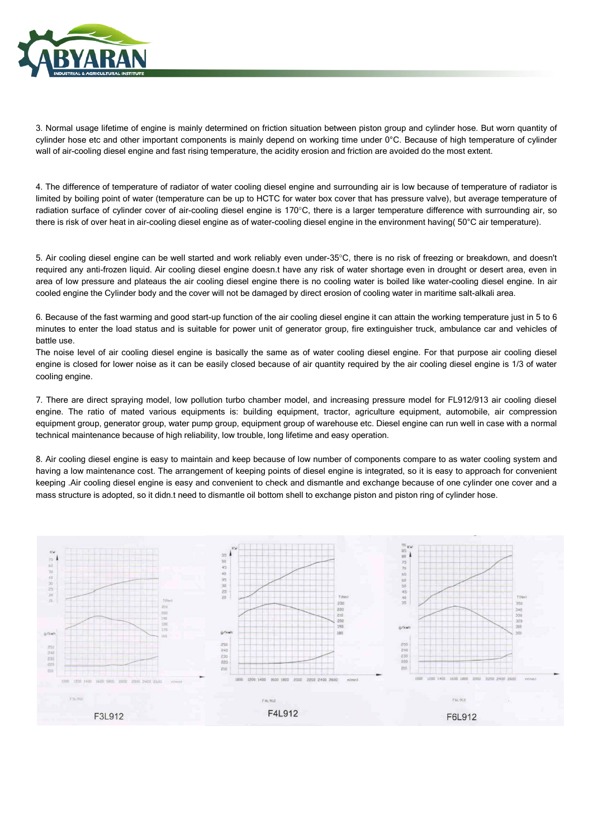

3. Normal usage lifetime of engine is mainly determined on friction situation between piston group and cylinder hose. But worn quantity of cylinder hose etc and other important components is mainly depend on working time under 0°C. Because of high temperature of cylinder wall of air-cooling diesel engine and fast rising temperature, the acidity erosion and friction are avoided do the most extent.

4. The difference of temperature of radiator of water cooling diesel engine and surrounding air is low because of temperature of radiator is limited by boiling point of water (temperature can be up to HCTC for water box cover that has pressure valve), but average temperature of radiation surface of cylinder cover of air-cooling diesel engine is 170°C, there is a larger temperature difference with surrounding air, so there is risk of over heat in air-cooling diesel engine as of water-cooling diesel engine in the environment having( 50°C air temperature).

5. Air cooling diesel engine can be well started and work reliably even under-35°C, there is no risk of freezing or breakdown, and doesn't required any anti-frozen liquid. Air cooling diesel engine doesn.t have any risk of water shortage even in drought or desert area, even in area of low pressure and plateaus the air cooling diesel engine there is no cooling water is boiled like water-cooling diesel engine. In air cooled engine the Cylinder body and the cover will not be damaged by direct erosion of cooling water in maritime salt-alkali area.

6. Because of the fast warming and good start-up function of the air cooling diesel engine it can attain the working temperature just in 5 to 6 minutes to enter the load status and is suitable for power unit of generator group, fire extinguisher truck, ambulance car and vehicles of battle use.

The noise level of air cooling diesel engine is basically the same as of water cooling diesel engine. For that purpose air cooling diesel engine is closed for lower noise as it can be easily closed because of air quantity required by the air cooling diesel engine is 1/3 of water cooling engine.

7. There are direct spraying model, low pollution turbo chamber model, and increasing pressure model for FL912/913 air cooling diesel engine. The ratio of mated various equipments is: building equipment, tractor, agriculture equipment, automobile, air compression equipment group, generator group, water pump group, equipment group of warehouse etc. Diesel engine can run well in case with a normal technical maintenance because of high reliability, low trouble, long lifetime and easy operation.

8. Air cooling diesel engine is easy to maintain and keep because of low number of components compare to as water cooling system and having a low maintenance cost. The arrangement of keeping points of diesel engine is integrated, so it is easy to approach for convenient keeping .Air cooling diesel engine is easy and convenient to check and dismantle and exchange because of one cylinder one cover and a mass structure is adopted, so it didn.t need to dismantle oil bottom shell to exchange piston and piston ring of cylinder hose.